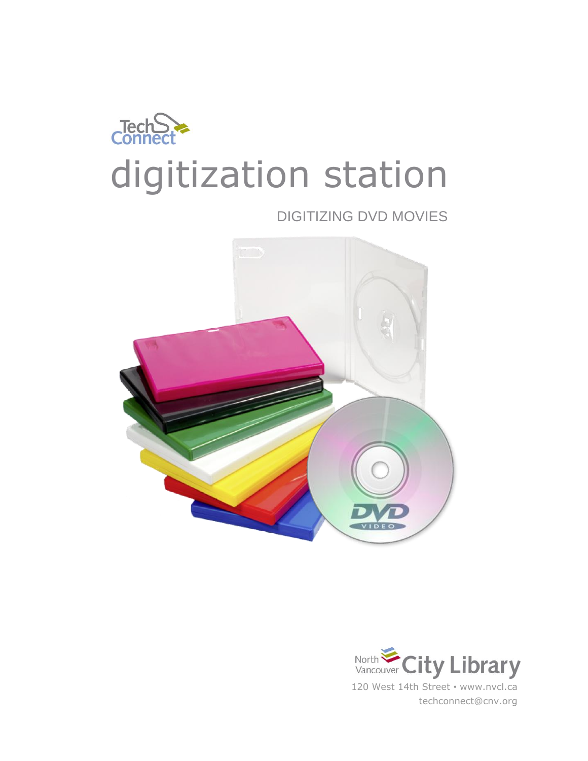

DIGITIZING DVD MOVIES



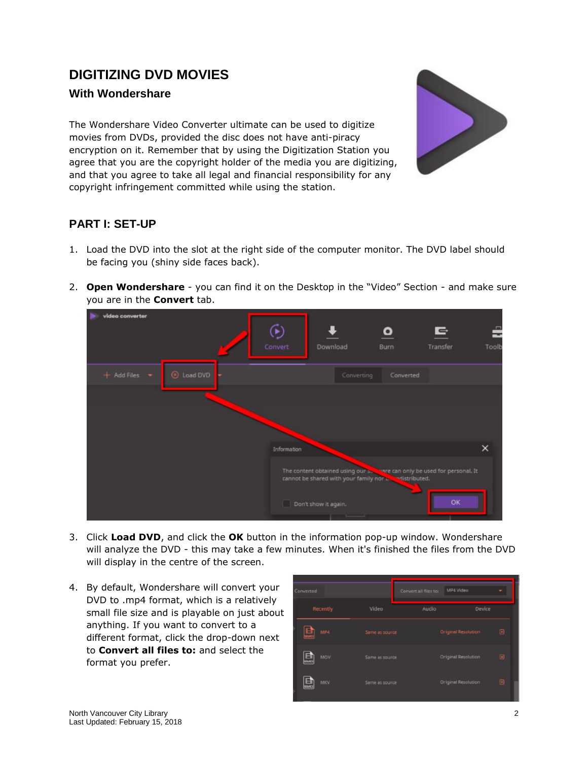# **DIGITIZING DVD MOVIES**

#### **With Wondershare**

The Wondershare Video Converter ultimate can be used to digitize movies from DVDs, provided the disc does not have anti-piracy encryption on it. Remember that by using the Digitization Station you agree that you are the copyright holder of the media you are digitizing, and that you agree to take all legal and financial responsibility for any copyright infringement committed while using the station.



### **PART I: SET-UP**

- 1. Load the DVD into the slot at the right side of the computer monitor. The DVD label should be facing you (shiny side faces back).
- 2. **Open Wondershare** you can find it on the Desktop in the "Video" Section and make sure you are in the **Convert** tab.



- 3. Click **Load DVD**, and click the **OK** button in the information pop-up window. Wondershare will analyze the DVD - this may take a few minutes. When it's finished the files from the DVD will display in the centre of the screen.
- 4. By default, Wondershare will convert your DVD to .mp4 format, which is a relatively small file size and is playable on just about anything. If you want to convert to a different format, click the drop-down next to **Convert all files to:** and select the format you prefer.

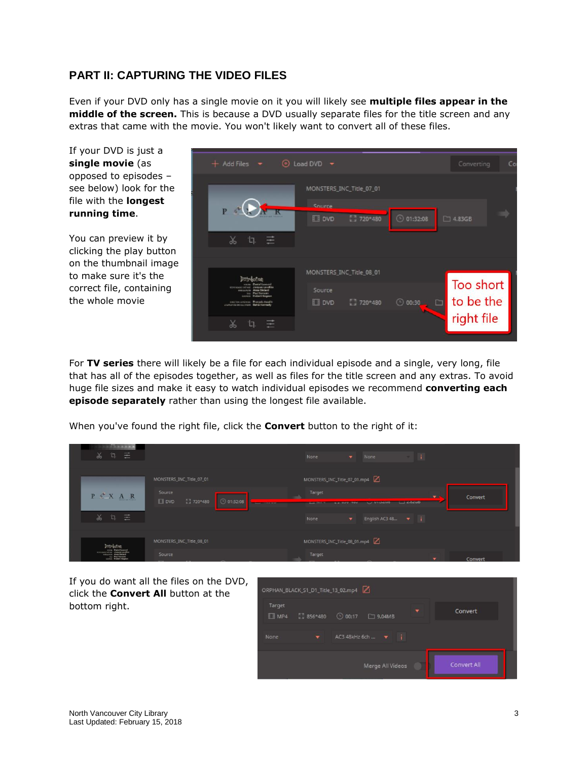## **PART II: CAPTURING THE VIDEO FILES**

Even if your DVD only has a single movie on it you will likely see **multiple files appear in the middle of the screen.** This is because a DVD usually separate files for the title screen and any extras that came with the movie. You won't likely want to convert all of these files.

If your DVD is just a **single movie** (as opposed to episodes – see below) look for the file with the **longest running time**.

You can preview it by clicking the play button on the thumbnail image to make sure it's the correct file, containing the whole movie

| $+$ Add Files $+$                                                                                                                                                                                   | ⊙ Load DVD →                           | Converting<br>Co                              |
|-----------------------------------------------------------------------------------------------------------------------------------------------------------------------------------------------------|----------------------------------------|-----------------------------------------------|
|                                                                                                                                                                                                     | MONSTERS_INC_Title_07_01<br>Source.    | - 1                                           |
| $\frac{1}{2}$<br>'n                                                                                                                                                                                 | 27 720*480<br><b>III</b> DVD           | $\odot$ 01:32:08<br>$\Box$ 4.83GB             |
|                                                                                                                                                                                                     | MONSTERS_INC_Title_08_01               |                                               |
| Distribution<br>Jacques Laudian<br>With Art servants in contributed<br>essurers Asse Diderit<br>our. Poul Surrouts<br><b>Fishert Gagean</b><br><b>GOODSEA</b><br>rene ten ernieren. Warpels Assette | Source<br>13 720*480<br><b>III</b> DVD | Too short<br>to be the<br>o.<br>$\odot$ 00:30 |
| stortstilletextualitem Bahla Keesedy<br>'n<br>X<br>-                                                                                                                                                |                                        | right file                                    |
|                                                                                                                                                                                                     |                                        |                                               |

For **TV series** there will likely be a file for each individual episode and a single, very long, file that has all of the episodes together, as well as files for the title screen and any extras. To avoid huge file sizes and make it easy to watch individual episodes we recommend **converting each episode separately** rather than using the longest file available.

When you've found the right file, click the **Convert** button to the right of it:

| 로<br>$\chi$<br>L٦.                                                                                            |                                                                              | -11<br>None<br>$\mathbf{v}$<br>None                                                                               |  |
|---------------------------------------------------------------------------------------------------------------|------------------------------------------------------------------------------|-------------------------------------------------------------------------------------------------------------------|--|
|                                                                                                               | MONSTERS_INC_Title_07_01                                                     | MONSTERS_INC_Title_07_01.mp4                                                                                      |  |
| $P \xleftarrow{\alpha} X A R$                                                                                 | Source<br>◯ 01:32:08<br>【3720*480<br>$E$ ovp<br><b>PERSONAL PROPERTY AND</b> | Target<br>Convert<br>$\mathbf{v}$<br>$-20200$<br><b>CONDITION</b><br><b>DOM: UCOTOR</b><br><b>BALLARY CONTROL</b> |  |
| $\chi$<br>굳<br>'n                                                                                             |                                                                              | English AC3 48 $\bullet$ i<br>$\overline{\mathbf{v}}$<br>None                                                     |  |
| Distribution                                                                                                  | MONSTERS_INC_Title_08_01                                                     | MONSTERS_INC_Title_08_01.mp4                                                                                      |  |
| www. Desiglitary.cd<br>HINNANY FOLKY JIMBARS LEASERS<br><b>ANNUAL Aces Deland</b><br><b>The Post Servests</b> | Source                                                                       | Target<br>Convert<br>$\mathbf{r}$                                                                                 |  |

If you do want all the files on the DVD, click the **Convert All** button at the bottom right.